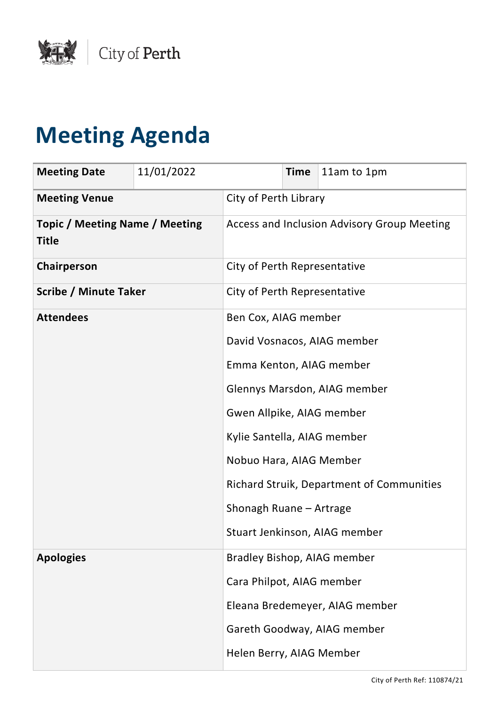

## **Meeting Agenda**

| <b>Meeting Date</b>                                   | 11/01/2022 |                              | <b>Time</b> | 11am to 1pm                                      |
|-------------------------------------------------------|------------|------------------------------|-------------|--------------------------------------------------|
| <b>Meeting Venue</b>                                  |            | City of Perth Library        |             |                                                  |
| <b>Topic / Meeting Name / Meeting</b><br><b>Title</b> |            |                              |             | Access and Inclusion Advisory Group Meeting      |
| Chairperson                                           |            | City of Perth Representative |             |                                                  |
| <b>Scribe / Minute Taker</b>                          |            | City of Perth Representative |             |                                                  |
| <b>Attendees</b>                                      |            | Ben Cox, AIAG member         |             |                                                  |
|                                                       |            | David Vosnacos, AIAG member  |             |                                                  |
|                                                       |            | Emma Kenton, AIAG member     |             |                                                  |
|                                                       |            | Glennys Marsdon, AIAG member |             |                                                  |
|                                                       |            | Gwen Allpike, AIAG member    |             |                                                  |
|                                                       |            | Kylie Santella, AIAG member  |             |                                                  |
|                                                       |            | Nobuo Hara, AIAG Member      |             |                                                  |
|                                                       |            |                              |             | <b>Richard Struik, Department of Communities</b> |
|                                                       |            | Shonagh Ruane - Artrage      |             |                                                  |
|                                                       |            |                              |             | Stuart Jenkinson, AIAG member                    |
| <b>Apologies</b>                                      |            |                              |             | Bradley Bishop, AIAG member                      |
|                                                       |            | Cara Philpot, AIAG member    |             |                                                  |
|                                                       |            |                              |             | Eleana Bredemeyer, AIAG member                   |
|                                                       |            |                              |             | Gareth Goodway, AIAG member                      |
|                                                       |            | Helen Berry, AIAG Member     |             |                                                  |

City of Perth Ref: 110874/21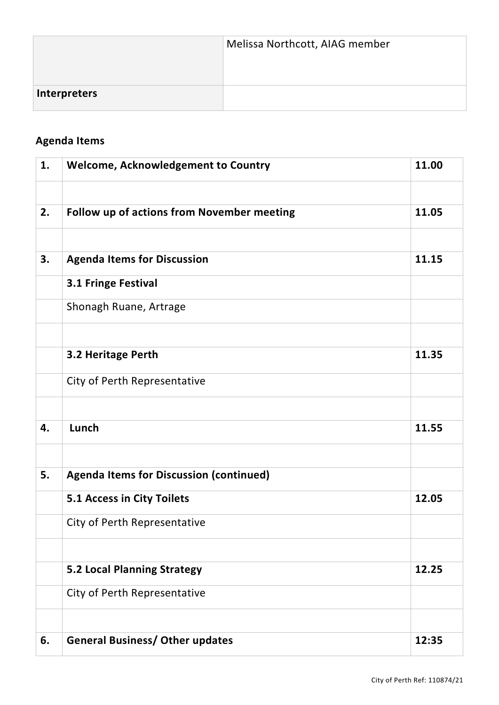|                     | Melissa Northcott, AIAG member |
|---------------------|--------------------------------|
| <b>Interpreters</b> |                                |

## **Agenda Items**

| 1. | Welcome, Acknowledgement to Country            | 11.00 |
|----|------------------------------------------------|-------|
|    |                                                |       |
| 2. | Follow up of actions from November meeting     | 11.05 |
|    |                                                |       |
| 3. | <b>Agenda Items for Discussion</b>             | 11.15 |
|    | 3.1 Fringe Festival                            |       |
|    | Shonagh Ruane, Artrage                         |       |
|    |                                                |       |
|    | 3.2 Heritage Perth                             | 11.35 |
|    | City of Perth Representative                   |       |
|    |                                                |       |
| 4. | Lunch                                          | 11.55 |
|    |                                                |       |
| 5. | <b>Agenda Items for Discussion (continued)</b> |       |
|    | 5.1 Access in City Toilets                     | 12.05 |
|    | City of Perth Representative                   |       |
|    |                                                |       |
|    | <b>5.2 Local Planning Strategy</b>             | 12.25 |
|    | City of Perth Representative                   |       |
|    |                                                |       |
| 6. | <b>General Business/ Other updates</b>         | 12:35 |